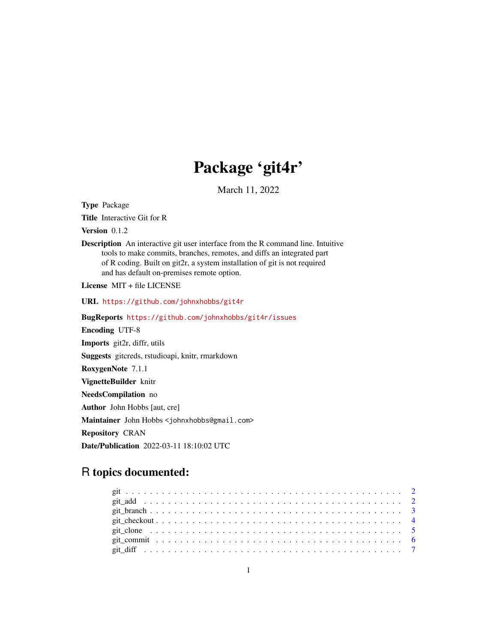## Package 'git4r'

March 11, 2022

Type Package

Title Interactive Git for R

Version 0.1.2

Description An interactive git user interface from the R command line. Intuitive tools to make commits, branches, remotes, and diffs an integrated part of R coding. Built on git2r, a system installation of git is not required and has default on-premises remote option.

License MIT + file LICENSE

URL <https://github.com/johnxhobbs/git4r>

BugReports <https://github.com/johnxhobbs/git4r/issues>

Encoding UTF-8

Imports git2r, diffr, utils

Suggests gitcreds, rstudioapi, knitr, rmarkdown

RoxygenNote 7.1.1

VignetteBuilder knitr

NeedsCompilation no

Author John Hobbs [aut, cre]

Maintainer John Hobbs <johnxhobbs@gmail.com>

Repository CRAN

Date/Publication 2022-03-11 18:10:02 UTC

## R topics documented: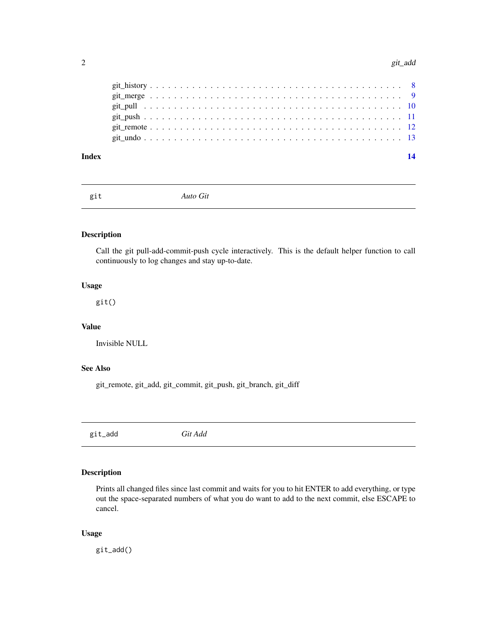#### <span id="page-1-0"></span>2 git\_add

## **Index** 2008 **[14](#page-13-0)**

git *Auto Git*

## Description

Call the git pull-add-commit-push cycle interactively. This is the default helper function to call continuously to log changes and stay up-to-date.

## Usage

git()

## Value

Invisible NULL

## See Also

git\_remote, git\_add, git\_commit, git\_push, git\_branch, git\_diff

git\_add *Git Add*

## Description

Prints all changed files since last commit and waits for you to hit ENTER to add everything, or type out the space-separated numbers of what you do want to add to the next commit, else ESCAPE to cancel.

## Usage

git\_add()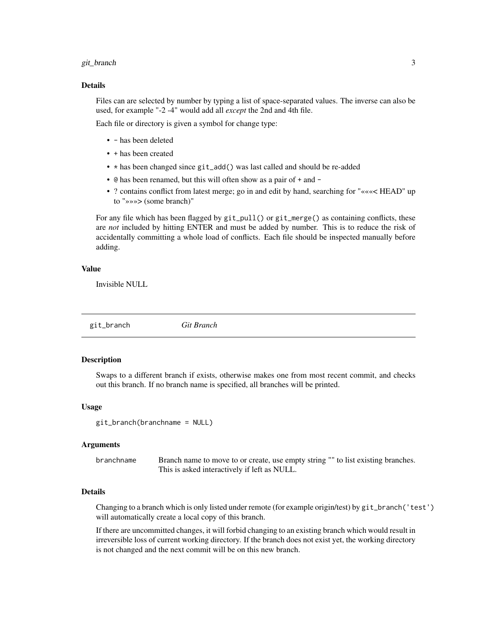#### <span id="page-2-0"></span>git\_branch 3

#### Details

Files can are selected by number by typing a list of space-separated values. The inverse can also be used, for example "-2 -4" would add all *except* the 2nd and 4th file.

Each file or directory is given a symbol for change type:

- - has been deleted
- + has been created
- \* has been changed since git\_add() was last called and should be re-added
- @ has been renamed, but this will often show as a pair of + and -
- ? contains conflict from latest merge; go in and edit by hand, searching for "«««< HEAD" up to "»»»> (some branch)"

For any file which has been flagged by  $git\_pull()$  or  $git\_merge()$  as containing conflicts, these are *not* included by hitting ENTER and must be added by number. This is to reduce the risk of accidentally committing a whole load of conflicts. Each file should be inspected manually before adding.

#### Value

Invisible NULL

git\_branch *Git Branch*

#### Description

Swaps to a different branch if exists, otherwise makes one from most recent commit, and checks out this branch. If no branch name is specified, all branches will be printed.

#### Usage

git\_branch(branchname = NULL)

#### Arguments

branchname Branch name to move to or create, use empty string "" to list existing branches. This is asked interactively if left as NULL.

## Details

Changing to a branch which is only listed under remote (for example origin/test) by git\_branch('test') will automatically create a local copy of this branch.

If there are uncommitted changes, it will forbid changing to an existing branch which would result in irreversible loss of current working directory. If the branch does not exist yet, the working directory is not changed and the next commit will be on this new branch.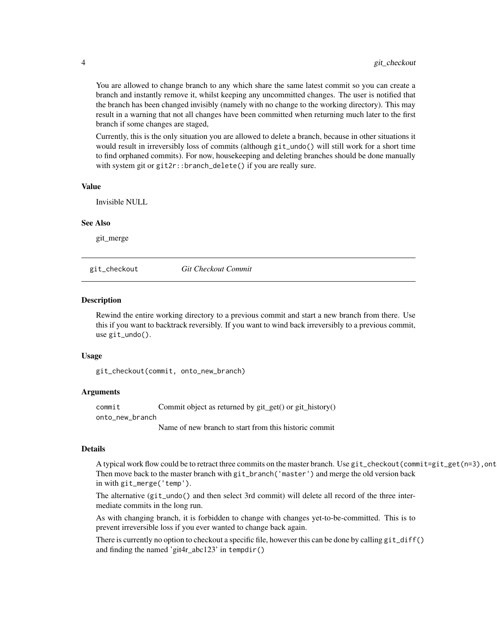You are allowed to change branch to any which share the same latest commit so you can create a branch and instantly remove it, whilst keeping any uncommitted changes. The user is notified that the branch has been changed invisibly (namely with no change to the working directory). This may result in a warning that not all changes have been committed when returning much later to the first branch if some changes are staged,

Currently, this is the only situation you are allowed to delete a branch, because in other situations it would result in irreversibly loss of commits (although git\_undo() will still work for a short time to find orphaned commits). For now, housekeeping and deleting branches should be done manually with system git or git2r::branch\_delete() if you are really sure.

#### Value

Invisible NULL

#### See Also

git\_merge

git\_checkout *Git Checkout Commit*

#### **Description**

Rewind the entire working directory to a previous commit and start a new branch from there. Use this if you want to backtrack reversibly. If you want to wind back irreversibly to a previous commit, use git\_undo().

#### Usage

git\_checkout(commit, onto\_new\_branch)

## Arguments

commit commit commit object as returned by git get() or git history() onto\_new\_branch Name of new branch to start from this historic commit

#### **Details**

A typical work flow could be to retract three commits on the master branch. Use git\_checkout (commit=git\_get(n=3), ont Then move back to the master branch with git\_branch('master') and merge the old version back in with git\_merge('temp').

The alternative (git\_undo() and then select 3rd commit) will delete all record of the three intermediate commits in the long run.

As with changing branch, it is forbidden to change with changes yet-to-be-committed. This is to prevent irreversible loss if you ever wanted to change back again.

There is currently no option to checkout a specific file, however this can be done by calling git\_diff() and finding the named 'git4r\_abc123' in tempdir()

<span id="page-3-0"></span>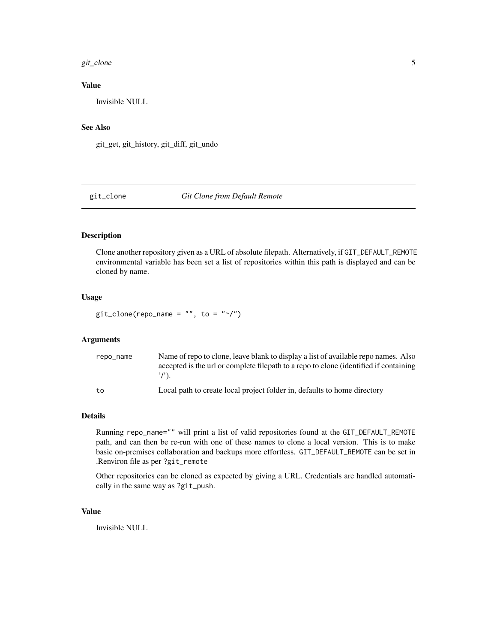#### <span id="page-4-0"></span>git\_clone 5

## Value

Invisible NULL

## See Also

git\_get, git\_history, git\_diff, git\_undo

## git\_clone *Git Clone from Default Remote*

## Description

Clone another repository given as a URL of absolute filepath. Alternatively, if GIT\_DEFAULT\_REMOTE environmental variable has been set a list of repositories within this path is displayed and can be cloned by name.

## Usage

 $git\_clone(repo_name = "", to = "~/")$ 

## Arguments

| repo_name | Name of repo to clone, leave blank to display a list of available repo names. Also<br>accepted is the url or complete filepath to a repo to clone (identified if containing |
|-----------|-----------------------------------------------------------------------------------------------------------------------------------------------------------------------------|
| to        | Local path to create local project folder in, defaults to home directory                                                                                                    |

## Details

Running repo\_name="" will print a list of valid repositories found at the GIT\_DEFAULT\_REMOTE path, and can then be re-run with one of these names to clone a local version. This is to make basic on-premises collaboration and backups more effortless. GIT\_DEFAULT\_REMOTE can be set in .Renviron file as per ?git\_remote

Other repositories can be cloned as expected by giving a URL. Credentials are handled automatically in the same way as ?git\_push.

#### Value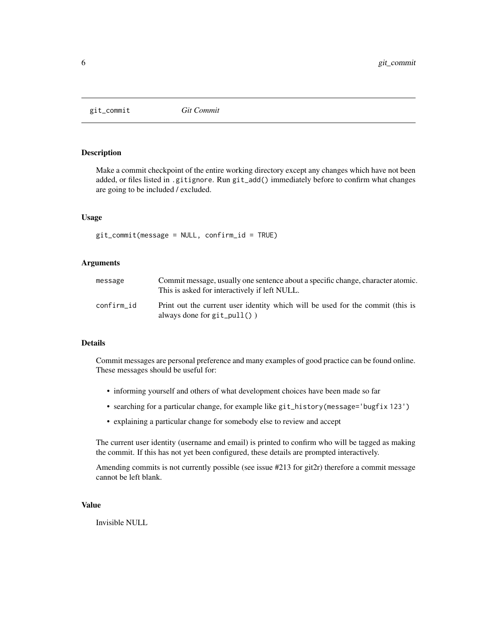<span id="page-5-0"></span>git\_commit *Git Commit*

## Description

Make a commit checkpoint of the entire working directory except any changes which have not been added, or files listed in .gitignore. Run git\_add() immediately before to confirm what changes are going to be included / excluded.

#### Usage

```
git_commit(message = NULL, confirm_id = TRUE)
```
#### Arguments

| message    | Commit message, usually one sentence about a specific change, character atomic.<br>This is asked for interactively if left NULL. |
|------------|----------------------------------------------------------------------------------------------------------------------------------|
| confirm id | Print out the current user identity which will be used for the commit (this is<br>always done for $git\_pull()$ )                |

## Details

Commit messages are personal preference and many examples of good practice can be found online. These messages should be useful for:

- informing yourself and others of what development choices have been made so far
- searching for a particular change, for example like git\_history(message='bugfix 123')
- explaining a particular change for somebody else to review and accept

The current user identity (username and email) is printed to confirm who will be tagged as making the commit. If this has not yet been configured, these details are prompted interactively.

Amending commits is not currently possible (see issue #213 for git2r) therefore a commit message cannot be left blank.

## Value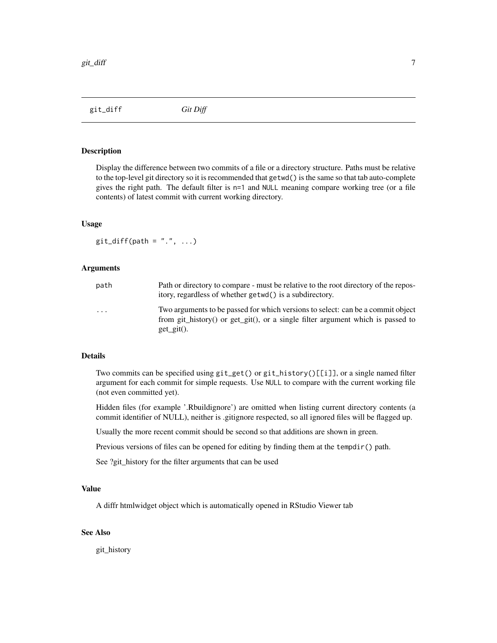<span id="page-6-0"></span>git\_diff *Git Diff*

#### Description

Display the difference between two commits of a file or a directory structure. Paths must be relative to the top-level git directory so it is recommended that getwd() is the same so that tab auto-complete gives the right path. The default filter is n=1 and NULL meaning compare working tree (or a file contents) of latest commit with current working directory.

#### Usage

 $git\_diff(path = "."", ...)$ 

## Arguments

| path    | Path or directory to compare - must be relative to the root directory of the repos-<br>itory, regardless of whether getwd() is a subdirectory.                                       |
|---------|--------------------------------------------------------------------------------------------------------------------------------------------------------------------------------------|
| $\cdot$ | Two arguments to be passed for which versions to select: can be a commit object<br>from git_history() or get_git(), or a single filter argument which is passed to<br>$get\_git()$ . |

#### Details

Two commits can be specified using git\_get() or git\_history()[[i]], or a single named filter argument for each commit for simple requests. Use NULL to compare with the current working file (not even committed yet).

Hidden files (for example '.Rbuildignore') are omitted when listing current directory contents (a commit identifier of NULL), neither is .gitignore respected, so all ignored files will be flagged up.

Usually the more recent commit should be second so that additions are shown in green.

Previous versions of files can be opened for editing by finding them at the tempdir() path.

See ?git\_history for the filter arguments that can be used

#### Value

A diffr htmlwidget object which is automatically opened in RStudio Viewer tab

## See Also

git\_history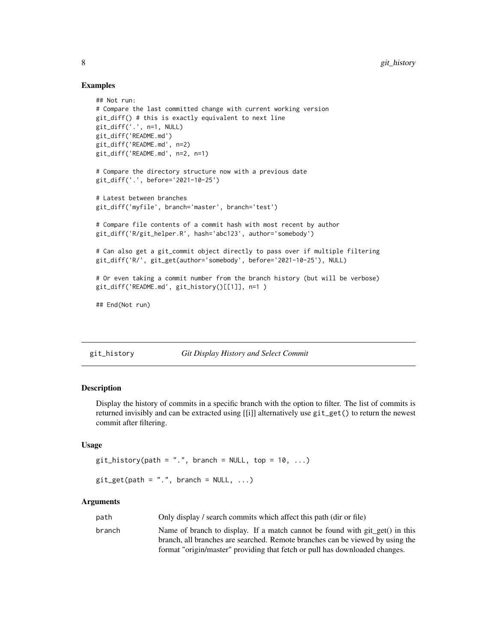## Examples

```
## Not run:
# Compare the last committed change with current working version
git_diff() # this is exactly equivalent to next line
git_diff('.', n=1, NULL)
git_diff('README.md')
git_diff('README.md', n=2)
git_diff('README.md', n=2, n=1)
# Compare the directory structure now with a previous date
git_diff('.', before='2021-10-25')
# Latest between branches
git_diff('myfile', branch='master', branch='test')
# Compare file contents of a commit hash with most recent by author
git_diff('R/git_helper.R', hash='abc123', author='somebody')
# Can also get a git_commit object directly to pass over if multiple filtering
git_diff('R/', git_get(author='somebody', before='2021-10-25'), NULL)
# Or even taking a commit number from the branch history (but will be verbose)
git_diff('README.md', git_history()[[1]], n=1 )
## End(Not run)
```
git\_history *Git Display History and Select Commit*

## Description

Display the history of commits in a specific branch with the option to filter. The list of commits is returned invisibly and can be extracted using [[i]] alternatively use git\_get() to return the newest commit after filtering.

## Usage

```
git\_history(path = ".", branch = NULL, top = 10, ...)
```

```
git\_get(path = ".", branch = NULL, ...)
```
#### **Arguments**

| path   | Only display / search commits which affect this path (dir or file)            |
|--------|-------------------------------------------------------------------------------|
| branch | Name of branch to display. If a match cannot be found with git get() in this  |
|        | branch, all branches are searched. Remote branches can be viewed by using the |
|        | format "origin/master" providing that fetch or pull has downloaded changes.   |

<span id="page-7-0"></span>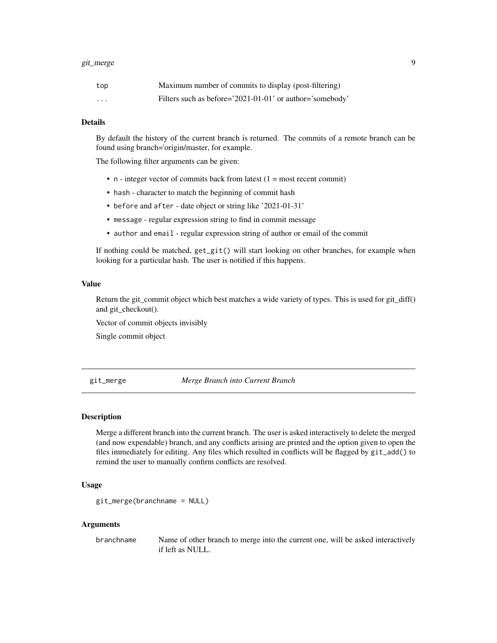#### <span id="page-8-0"></span>git\_merge 99

| top     | Maximum number of commits to display (post-filtering)    |
|---------|----------------------------------------------------------|
| $\cdot$ | Filters such as before='2021-01-01' or author='somebody' |

#### Details

By default the history of the current branch is returned. The commits of a remote branch can be found using branch='origin/master, for example.

The following filter arguments can be given:

- $n -$  integer vector of commits back from latest (1 = most recent commit)
- hash character to match the beginning of commit hash
- before and after date object or string like '2021-01-31'
- message regular expression string to find in commit message
- author and email regular expression string of author or email of the commit

If nothing could be matched, get\_git() will start looking on other branches, for example when looking for a particular hash. The user is notified if this happens.

## Value

Return the git\_commit object which best matches a wide variety of types. This is used for git\_diff() and git\_checkout().

Vector of commit objects invisibly

Single commit object

git\_merge *Merge Branch into Current Branch*

#### Description

Merge a different branch into the current branch. The user is asked interactively to delete the merged (and now expendable) branch, and any conflicts arising are printed and the option given to open the files immediately for editing. Any files which resulted in conflicts will be flagged by git\_add() to remind the user to manually confirm conflicts are resolved.

## Usage

```
git_merge(branchname = NULL)
```
#### Arguments

branchname Name of other branch to merge into the current one, will be asked interactively if left as NULL.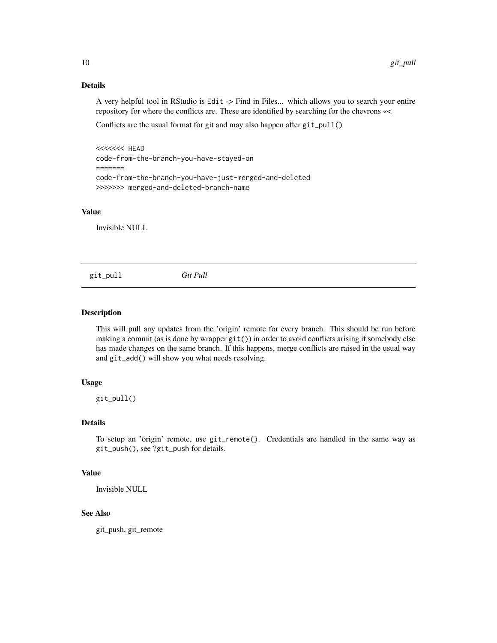## Details

A very helpful tool in RStudio is Edit -> Find in Files... which allows you to search your entire repository for where the conflicts are. These are identified by searching for the chevrons «<

Conflicts are the usual format for git and may also happen after git\_pull()

<<<<<<< HEAD code-from-the-branch-you-have-stayed-on ======= code-from-the-branch-you-have-just-merged-and-deleted >>>>>>> merged-and-deleted-branch-name

## Value

Invisible NULL

git\_pull *Git Pull*

## **Description**

This will pull any updates from the 'origin' remote for every branch. This should be run before making a commit (as is done by wrapper git()) in order to avoid conflicts arising if somebody else has made changes on the same branch. If this happens, merge conflicts are raised in the usual way and git\_add() will show you what needs resolving.

#### Usage

git\_pull()

#### Details

To setup an 'origin' remote, use git\_remote(). Credentials are handled in the same way as git\_push(), see ?git\_push for details.

## Value

Invisible NULL

## See Also

git\_push, git\_remote

<span id="page-9-0"></span>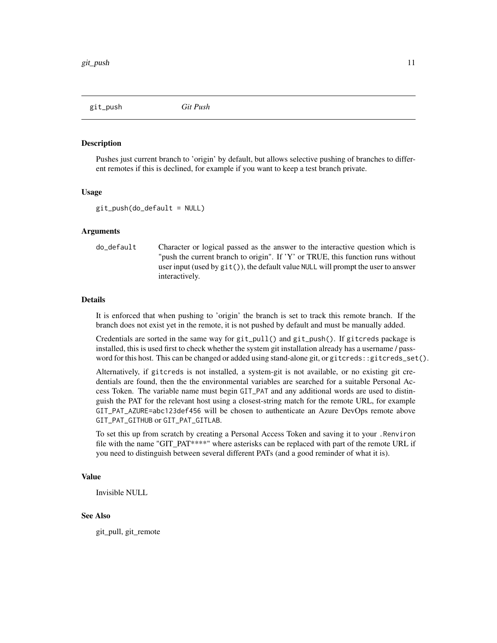<span id="page-10-0"></span>git\_push *Git Push*

#### Description

Pushes just current branch to 'origin' by default, but allows selective pushing of branches to different remotes if this is declined, for example if you want to keep a test branch private.

#### Usage

```
git\_push(do_default = NULL)
```
#### Arguments

```
do_default Character or logical passed as the answer to the interactive question which is
                  "push the current branch to origin". If 'Y' or TRUE, this function runs without
                  user input (used by git()), the default value NULL will prompt the user to answer
                  interactively.
```
#### Details

It is enforced that when pushing to 'origin' the branch is set to track this remote branch. If the branch does not exist yet in the remote, it is not pushed by default and must be manually added.

Credentials are sorted in the same way for git\_pull() and git\_push(). If gitcreds package is installed, this is used first to check whether the system git installation already has a username / password for this host. This can be changed or added using stand-alone git, or gitcreds::gitcreds\_set().

Alternatively, if gitcreds is not installed, a system-git is not available, or no existing git credentials are found, then the the environmental variables are searched for a suitable Personal Access Token. The variable name must begin GIT\_PAT and any additional words are used to distinguish the PAT for the relevant host using a closest-string match for the remote URL, for example GIT\_PAT\_AZURE=abc123def456 will be chosen to authenticate an Azure DevOps remote above GIT\_PAT\_GITHUB or GIT\_PAT\_GITLAB.

To set this up from scratch by creating a Personal Access Token and saving it to your .Renviron file with the name "GIT\_PAT\*\*\*\*" where asterisks can be replaced with part of the remote URL if you need to distinguish between several different PATs (and a good reminder of what it is).

#### Value

Invisible NULL

#### See Also

git\_pull, git\_remote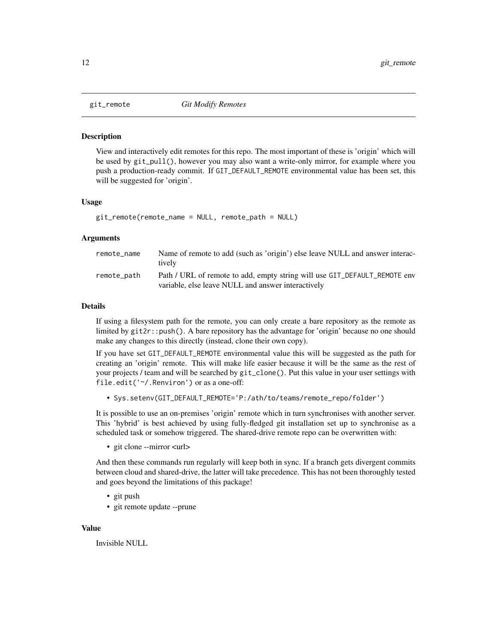<span id="page-11-0"></span>

#### Description

View and interactively edit remotes for this repo. The most important of these is 'origin' which will be used by git\_pull(), however you may also want a write-only mirror, for example where you push a production-ready commit. If GIT\_DEFAULT\_REMOTE environmental value has been set, this will be suggested for 'origin'.

#### Usage

git\_remote(remote\_name = NULL, remote\_path = NULL)

#### Arguments

| remote name | Name of remote to add (such as 'origin') else leave NULL and answer interac-<br>tively |
|-------------|----------------------------------------------------------------------------------------|
| remote_path | Path / URL of remote to add, empty string will use GIT_DEFAULT_REMOTE env              |
|             | variable, else leave NULL and answer interactively                                     |

#### Details

If using a filesystem path for the remote, you can only create a bare repository as the remote as limited by git2r::push(). A bare repository has the advantage for 'origin' because no one should make any changes to this directly (instead, clone their own copy).

If you have set GIT\_DEFAULT\_REMOTE environmental value this will be suggested as the path for creating an 'origin' remote. This will make life easier because it will be the same as the rest of your projects / team and will be searched by git\_clone(). Put this value in your user settings with file.edit('~/.Renviron') or as a one-off:

• Sys.setenv(GIT\_DEFAULT\_REMOTE='P:/ath/to/teams/remote\_repo/folder')

It is possible to use an on-premises 'origin' remote which in turn synchronises with another server. This 'hybrid' is best achieved by using fully-fledged git installation set up to synchronise as a scheduled task or somehow triggered. The shared-drive remote repo can be overwritten with:

• git clone --mirror <url>

And then these commands run regularly will keep both in sync. If a branch gets divergent commits between cloud and shared-drive, the latter will take precedence. This has not been thoroughly tested and goes beyond the limitations of this package!

- git push
- git remote update --prune

#### Value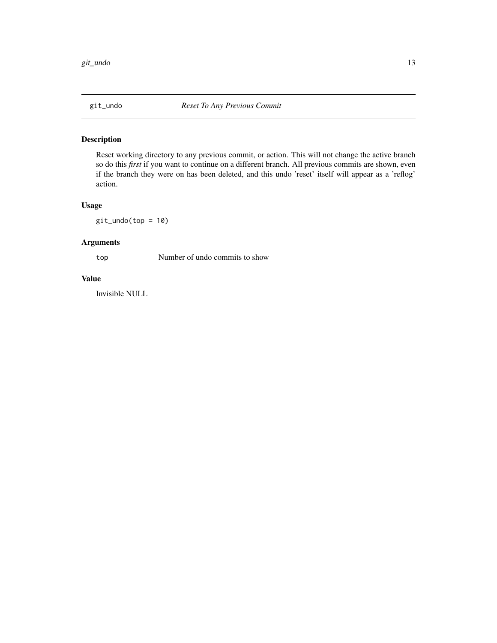<span id="page-12-0"></span>

## Description

Reset working directory to any previous commit, or action. This will not change the active branch so do this *first* if you want to continue on a different branch. All previous commits are shown, even if the branch they were on has been deleted, and this undo 'reset' itself will appear as a 'reflog' action.

## Usage

git\_undo(top = 10)

## Arguments

top Number of undo commits to show

#### Value